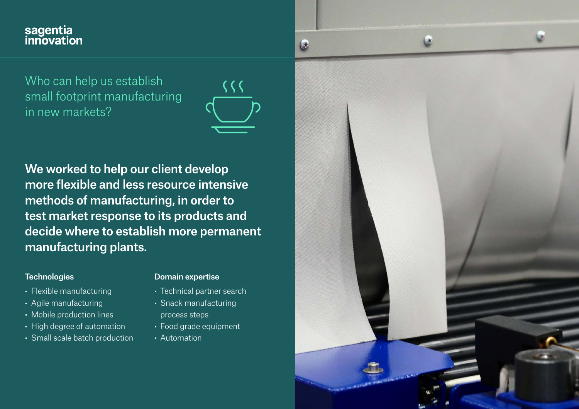# sagentia<br>innovation

Who can help us establish small footprint manufacturing in new markets?



We worked to help our client develop more flexible and less resource intensive methods of manufacturing, in order to test market response to its products and decide where to establish more permanent manufacturing plants.

#### **Technologies**

- Flexible manufacturing
- Agile manufacturing
- Mobile production lines
- High degree of automation
- Small scale batch production

#### Domain expertise

- Technical partner search
- Snack manufacturing process steps
- Food grade equipment
- Automation